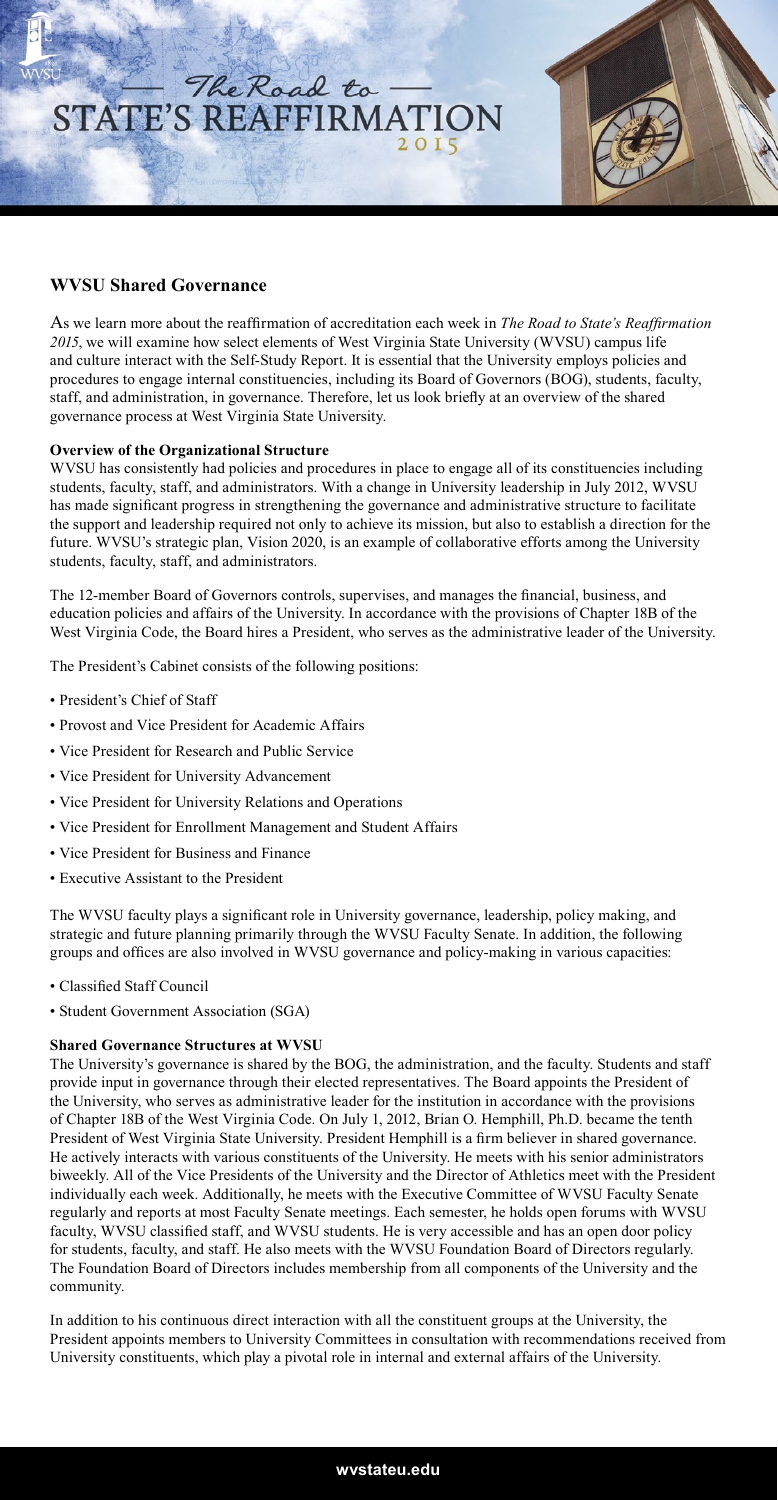

## **WVSU Shared Governance**

As we learn more about the reaffirmation of accreditation each week in *The Road to State's Reaffirmation 2015*, we will examine how select elements of West Virginia State University (WVSU) campus life and culture interact with the Self-Study Report. It is essential that the University employs policies and procedures to engage internal constituencies, including its Board of Governors (BOG), students, faculty, staff, and administration, in governance. Therefore, let us look briefly at an overview of the shared governance process at West Virginia State University.

## **Overview of the Organizational Structure**

WVSU has consistently had policies and procedures in place to engage all of its constituencies including students, faculty, staff, and administrators. With a change in University leadership in July 2012, WVSU has made significant progress in strengthening the governance and administrative structure to facilitate the support and leadership required not only to achieve its mission, but also to establish a direction for the future. WVSU's strategic plan, Vision 2020, is an example of collaborative efforts among the University students, faculty, staff, and administrators.

The 12-member Board of Governors controls, supervises, and manages the financial, business, and education policies and affairs of the University. In accordance with the provisions of Chapter 18B of the West Virginia Code, the Board hires a President, who serves as the administrative leader of the University.

The President's Cabinet consists of the following positions:

- President's Chief of Staff
- Provost and Vice President for Academic Affairs
- Vice President for Research and Public Service
- Vice President for University Advancement
- Vice President for University Relations and Operations
- Vice President for Enrollment Management and Student Affairs
- Vice President for Business and Finance
- Executive Assistant to the President

The WVSU faculty plays a significant role in University governance, leadership, policy making, and strategic and future planning primarily through the WVSU Faculty Senate. In addition, the following groups and offices are also involved in WVSU governance and policy-making in various capacities:

- Classified Staff Council
- Student Government Association (SGA)

## **Shared Governance Structures at WVSU**

The University's governance is shared by the BOG, the administration, and the faculty. Students and staff provide input in governance through their elected representatives. The Board appoints the President of the University, who serves as administrative leader for the institution in accordance with the provisions of Chapter 18B of the West Virginia Code. On July 1, 2012, Brian O. Hemphill, Ph.D. became the tenth President of West Virginia State University. President Hemphill is a firm believer in shared governance. He actively interacts with various constituents of the University. He meets with his senior administrators biweekly. All of the Vice Presidents of the University and the Director of Athletics meet with the President individually each week. Additionally, he meets with the Executive Committee of WVSU Faculty Senate regularly and reports at most Faculty Senate meetings. Each semester, he holds open forums with WVSU faculty, WVSU classified staff, and WVSU students. He is very accessible and has an open door policy for students, faculty, and staff. He also meets with the WVSU Foundation Board of Directors regularly. The Foundation Board of Directors includes membership from all components of the University and the community.

In addition to his continuous direct interaction with all the constituent groups at the University, the President appoints members to University Committees in consultation with recommendations received from University constituents, which play a pivotal role in internal and external affairs of the University.